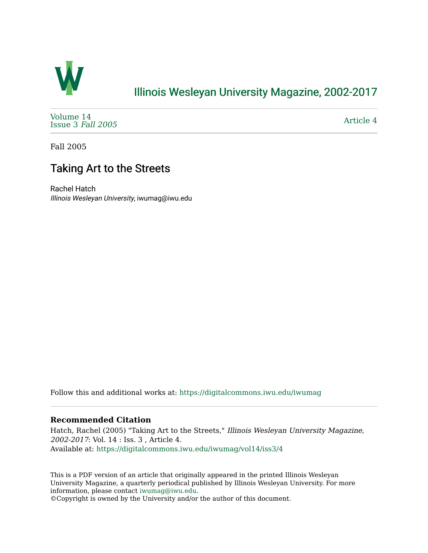

### [Illinois Wesleyan University Magazine, 2002-2017](https://digitalcommons.iwu.edu/iwumag)

[Volume 14](https://digitalcommons.iwu.edu/iwumag/vol14)  [Issue 3](https://digitalcommons.iwu.edu/iwumag/vol14/iss3) Fall 2005

[Article 4](https://digitalcommons.iwu.edu/iwumag/vol14/iss3/4) 

Fall 2005

# Taking Art to the Streets

Rachel Hatch Illinois Wesleyan University, iwumag@iwu.edu

Follow this and additional works at: [https://digitalcommons.iwu.edu/iwumag](https://digitalcommons.iwu.edu/iwumag?utm_source=digitalcommons.iwu.edu%2Fiwumag%2Fvol14%2Fiss3%2F4&utm_medium=PDF&utm_campaign=PDFCoverPages) 

#### **Recommended Citation**

Hatch, Rachel (2005) "Taking Art to the Streets," Illinois Wesleyan University Magazine, 2002-2017: Vol. 14 : Iss. 3 , Article 4. Available at: [https://digitalcommons.iwu.edu/iwumag/vol14/iss3/4](https://digitalcommons.iwu.edu/iwumag/vol14/iss3/4?utm_source=digitalcommons.iwu.edu%2Fiwumag%2Fvol14%2Fiss3%2F4&utm_medium=PDF&utm_campaign=PDFCoverPages)

This is a PDF version of an article that originally appeared in the printed Illinois Wesleyan University Magazine, a quarterly periodical published by Illinois Wesleyan University. For more information, please contact [iwumag@iwu.edu](mailto:iwumag@iwu.edu).

©Copyright is owned by the University and/or the author of this document.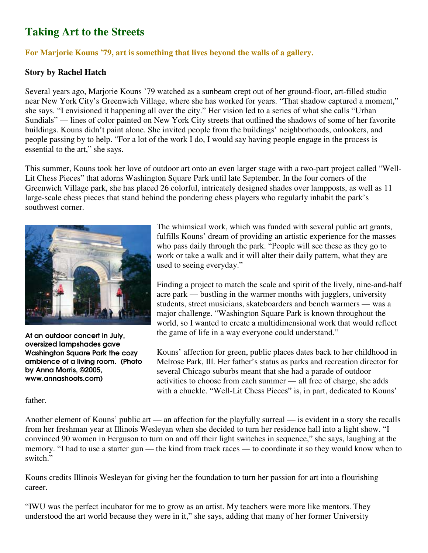## **Taking Art to the Streets**

### **For Marjorie Kouns '79, art is something that lives beyond the walls of a gallery.**

#### **Story by Rachel Hatch**

Several years ago, Marjorie Kouns '79 watched as a sunbeam crept out of her ground-floor, art-filled studio near New York City's Greenwich Village, where she has worked for years. "That shadow captured a moment," she says. "I envisioned it happening all over the city." Her vision led to a series of what she calls "Urban Sundials" — lines of color painted on New York City streets that outlined the shadows of some of her favorite buildings. Kouns didn't paint alone. She invited people from the buildings' neighborhoods, onlookers, and people passing by to help. "For a lot of the work I do, I would say having people engage in the process is essential to the art," she says.

This summer, Kouns took her love of outdoor art onto an even larger stage with a two-part project called "Well-Lit Chess Pieces" that adorns Washington Square Park until late September. In the four corners of the Greenwich Village park, she has placed 26 colorful, intricately designed shades over lampposts, as well as 11 large-scale chess pieces that stand behind the pondering chess players who regularly inhabit the park's southwest corner.



At an outdoor concert in July, oversized lampshades gave Washington Square Park the cozy ambience of a living room. (Photo by Anna Morris, ©2005, www.annashoots.com)

father.

The whimsical work, which was funded with several public art grants, fulfills Kouns' dream of providing an artistic experience for the masses who pass daily through the park. "People will see these as they go to work or take a walk and it will alter their daily pattern, what they are used to seeing everyday."

Finding a project to match the scale and spirit of the lively, nine-and-half acre park — bustling in the warmer months with jugglers, university students, street musicians, skateboarders and bench warmers — was a major challenge. "Washington Square Park is known throughout the world, so I wanted to create a multidimensional work that would reflect the game of life in a way everyone could understand."

Kouns' affection for green, public places dates back to her childhood in Melrose Park, Ill. Her father's status as parks and recreation director for several Chicago suburbs meant that she had a parade of outdoor activities to choose from each summer — all free of charge, she adds with a chuckle. "Well-Lit Chess Pieces" is, in part, dedicated to Kouns'

Another element of Kouns' public art — an affection for the playfully surreal — is evident in a story she recalls from her freshman year at Illinois Wesleyan when she decided to turn her residence hall into a light show. "I convinced 90 women in Ferguson to turn on and off their light switches in sequence," she says, laughing at the memory. "I had to use a starter gun — the kind from track races — to coordinate it so they would know when to switch."

Kouns credits Illinois Wesleyan for giving her the foundation to turn her passion for art into a flourishing career.

"IWU was the perfect incubator for me to grow as an artist. My teachers were more like mentors. They understood the art world because they were in it," she says, adding that many of her former University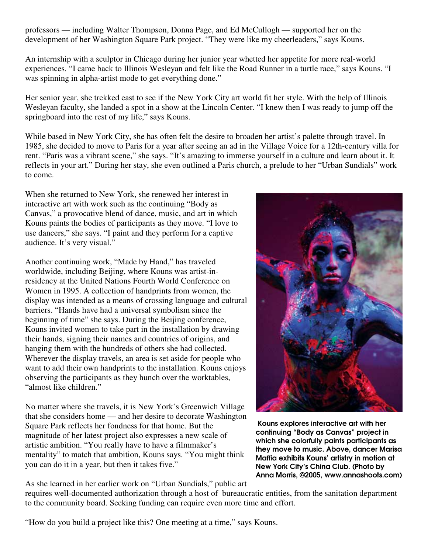professors — including Walter Thompson, Donna Page, and Ed McCullogh — supported her on the development of her Washington Square Park project. "They were like my cheerleaders," says Kouns.

An internship with a sculptor in Chicago during her junior year whetted her appetite for more real-world experiences. "I came back to Illinois Wesleyan and felt like the Road Runner in a turtle race," says Kouns. "I was spinning in alpha-artist mode to get everything done."

Her senior year, she trekked east to see if the New York City art world fit her style. With the help of Illinois Wesleyan faculty, she landed a spot in a show at the Lincoln Center. "I knew then I was ready to jump off the springboard into the rest of my life," says Kouns.

While based in New York City, she has often felt the desire to broaden her artist's palette through travel. In 1985, she decided to move to Paris for a year after seeing an ad in the Village Voice for a 12th-century villa for rent. "Paris was a vibrant scene," she says. "It's amazing to immerse yourself in a culture and learn about it. It reflects in your art." During her stay, she even outlined a Paris church, a prelude to her "Urban Sundials" work to come.

When she returned to New York, she renewed her interest in interactive art with work such as the continuing "Body as Canvas," a provocative blend of dance, music, and art in which Kouns paints the bodies of participants as they move. "I love to use dancers," she says. "I paint and they perform for a captive audience. It's very visual."

Another continuing work, "Made by Hand," has traveled worldwide, including Beijing, where Kouns was artist-inresidency at the United Nations Fourth World Conference on Women in 1995. A collection of handprints from women, the display was intended as a means of crossing language and cultural barriers. "Hands have had a universal symbolism since the beginning of time" she says. During the Beijing conference, Kouns invited women to take part in the installation by drawing their hands, signing their names and countries of origins, and hanging them with the hundreds of others she had collected. Wherever the display travels, an area is set aside for people who want to add their own handprints to the installation. Kouns enjoys observing the participants as they hunch over the worktables, "almost like children."

No matter where she travels, it is New York's Greenwich Village that she considers home — and her desire to decorate Washington Square Park reflects her fondness for that home. But the magnitude of her latest project also expresses a new scale of artistic ambition. "You really have to have a filmmaker's mentality" to match that ambition, Kouns says. "You might think you can do it in a year, but then it takes five."



Kouns explores interactive art with her continuing "Body as Canvas" project in which she colorfully paints participants as they move to music. Above, dancer Marisa Maffia exhibits Kouns' artistry in motion at New York City's China Club. (Photo by Anna Morris, ©2005, www.annashoots.com)

As she learned in her earlier work on "Urban Sundials," public art

requires well-documented authorization through a host of bureaucratic entities, from the sanitation department to the community board. Seeking funding can require even more time and effort.

"How do you build a project like this? One meeting at a time," says Kouns.